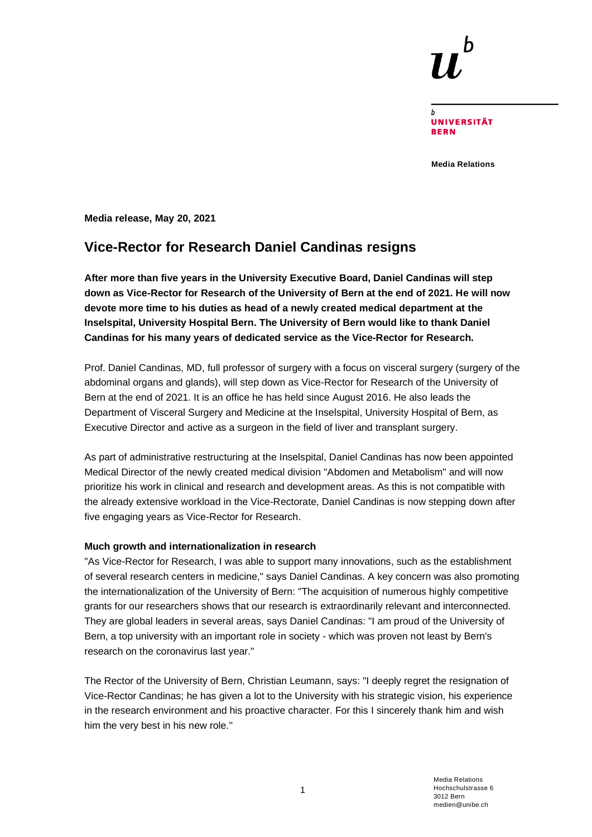**UNIVERSITÄT RFRN** 

**Media Relations**

**Media release, May 20, 2021**

## **Vice-Rector for Research Daniel Candinas resigns**

**After more than five years in the University Executive Board, Daniel Candinas will step down as Vice-Rector for Research of the University of Bern at the end of 2021. He will now devote more time to his duties as head of a newly created medical department at the Inselspital, University Hospital Bern. The University of Bern would like to thank Daniel Candinas for his many years of dedicated service as the Vice-Rector for Research.**

Prof. Daniel Candinas, MD, full professor of surgery with a focus on visceral surgery (surgery of the abdominal organs and glands), will step down as Vice-Rector for Research of the University of Bern at the end of 2021. It is an office he has held since August 2016. He also leads the Department of Visceral Surgery and Medicine at the Inselspital, University Hospital of Bern, as Executive Director and active as a surgeon in the field of liver and transplant surgery.

As part of administrative restructuring at the Inselspital, Daniel Candinas has now been appointed Medical Director of the newly created medical division "Abdomen and Metabolism" and will now prioritize his work in clinical and research and development areas. As this is not compatible with the already extensive workload in the Vice-Rectorate, Daniel Candinas is now stepping down after five engaging years as Vice-Rector for Research.

## **Much growth and internationalization in research**

"As Vice-Rector for Research, I was able to support many innovations, such as the establishment of several research centers in medicine," says Daniel Candinas. A key concern was also promoting the internationalization of the University of Bern: "The acquisition of numerous highly competitive grants for our researchers shows that our research is extraordinarily relevant and interconnected. They are global leaders in several areas, says Daniel Candinas: "I am proud of the University of Bern, a top university with an important role in society - which was proven not least by Bern's research on the coronavirus last year."

The Rector of the University of Bern, Christian Leumann, says: "I deeply regret the resignation of Vice-Rector Candinas; he has given a lot to the University with his strategic vision, his experience in the research environment and his proactive character. For this I sincerely thank him and wish him the very best in his new role."